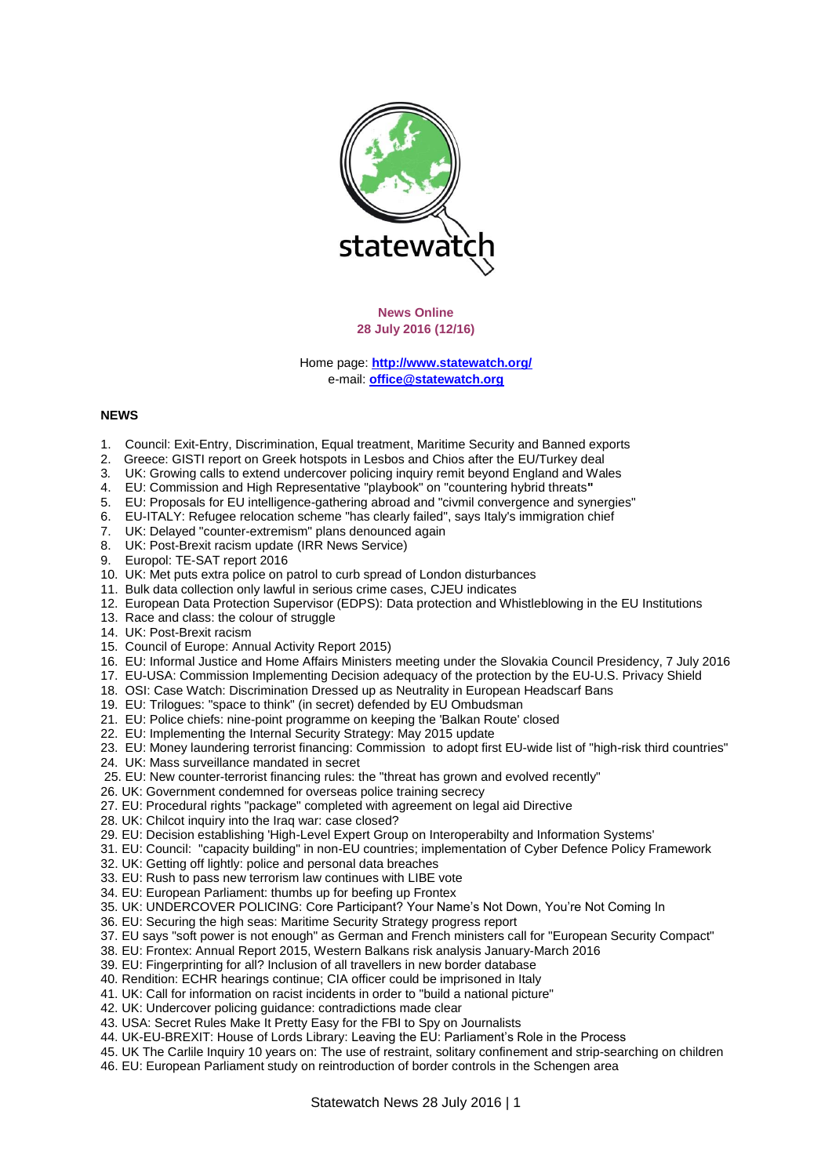

**News Online 28 July 2016 (12/16)**

Home page: **<http://www.statewatch.org/>** e-mail: **[office@statewatch.org](mailto:office@statewatch.org)**

## **NEWS**

- 1. Council: Exit-Entry, Discrimination, Equal treatment, Maritime Security and Banned exports
- 2. Greece: GISTI report on Greek hotspots in Lesbos and Chios after the EU/Turkey deal
- 3*.* UK: Growing calls to extend undercover policing inquiry remit beyond England and Wales
- 4. EU: Commission and High Representative "playbook" on "countering hybrid threats**"**
- 5. EU: Proposals for EU intelligence-gathering abroad and "civmil convergence and synergies"
- 6. EU-ITALY: Refugee relocation scheme "has clearly failed", says Italy's immigration chief
- 7. UK: Delayed "counter-extremism" plans denounced again
- 8. UK: Post-Brexit racism update (IRR News Service)
- 9. Europol: TE-SAT report 2016
- 10. UK: Met puts extra police on patrol to curb spread of London disturbances
- 11. Bulk data collection only lawful in serious crime cases, CJEU indicates
- 12. European Data Protection Supervisor (EDPS): Data protection and Whistleblowing in the EU Institutions
- 13. Race and class: the colour of struggle
- 14. UK: Post-Brexit racism
- 15. Council of Europe: Annual Activity Report 2015)
- 16. EU: Informal Justice and Home Affairs Ministers meeting under the Slovakia Council Presidency, 7 July 2016
- 17. EU-USA: Commission Implementing Decision adequacy of the protection by the EU-U.S. Privacy Shield
- 18. OSI: Case Watch: Discrimination Dressed up as Neutrality in European Headscarf Bans
- 19. EU: Trilogues: "space to think" (in secret) defended by EU Ombudsman
- 21. EU: Police chiefs: nine-point programme on keeping the 'Balkan Route' closed
- 22. EU: Implementing the Internal Security Strategy: May 2015 update
- 23. EU: Money laundering terrorist financing: Commission to adopt first EU-wide list of "high-risk third countries"
- 24. UK: Mass surveillance mandated in secret
- 25. EU: New counter-terrorist financing rules: the "threat has grown and evolved recently"
- 26. UK: Government condemned for overseas police training secrecy
- 27. EU: Procedural rights "package" completed with agreement on legal aid Directive
- 28. UK: Chilcot inquiry into the Iraq war: case closed?
- 29. EU: Decision establishing 'High-Level Expert Group on Interoperabilty and Information Systems'
- 31. EU: Council: "capacity building" in non-EU countries; implementation of Cyber Defence Policy Framework
- 32. UK: Getting off lightly: police and personal data breaches
- 33. EU: Rush to pass new terrorism law continues with LIBE vote
- 34. EU: European Parliament: thumbs up for beefing up Frontex
- 35. UK: UNDERCOVER POLICING: Core Participant? Your Name's Not Down, You're Not Coming In
- 36. EU: Securing the high seas: Maritime Security Strategy progress report
- 37. EU says "soft power is not enough" as German and French ministers call for "European Security Compact"
- 38. EU: Frontex: Annual Report 2015, Western Balkans risk analysis January-March 2016
- 39. EU: Fingerprinting for all? Inclusion of all travellers in new border database
- 40. Rendition: ECHR hearings continue; CIA officer could be imprisoned in Italy
- 41. UK: Call for information on racist incidents in order to "build a national picture"
- 42. UK: Undercover policing guidance: contradictions made clear
- 43. USA: Secret Rules Make It Pretty Easy for the FBI to Spy on Journalists
- 44. UK-EU-BREXIT: House of Lords Library: Leaving the EU: Parliament's Role in the Process
- 45. UK The Carlile Inquiry 10 years on: The use of restraint, solitary confinement and strip-searching on children
- 46. EU: European Parliament study on reintroduction of border controls in the Schengen area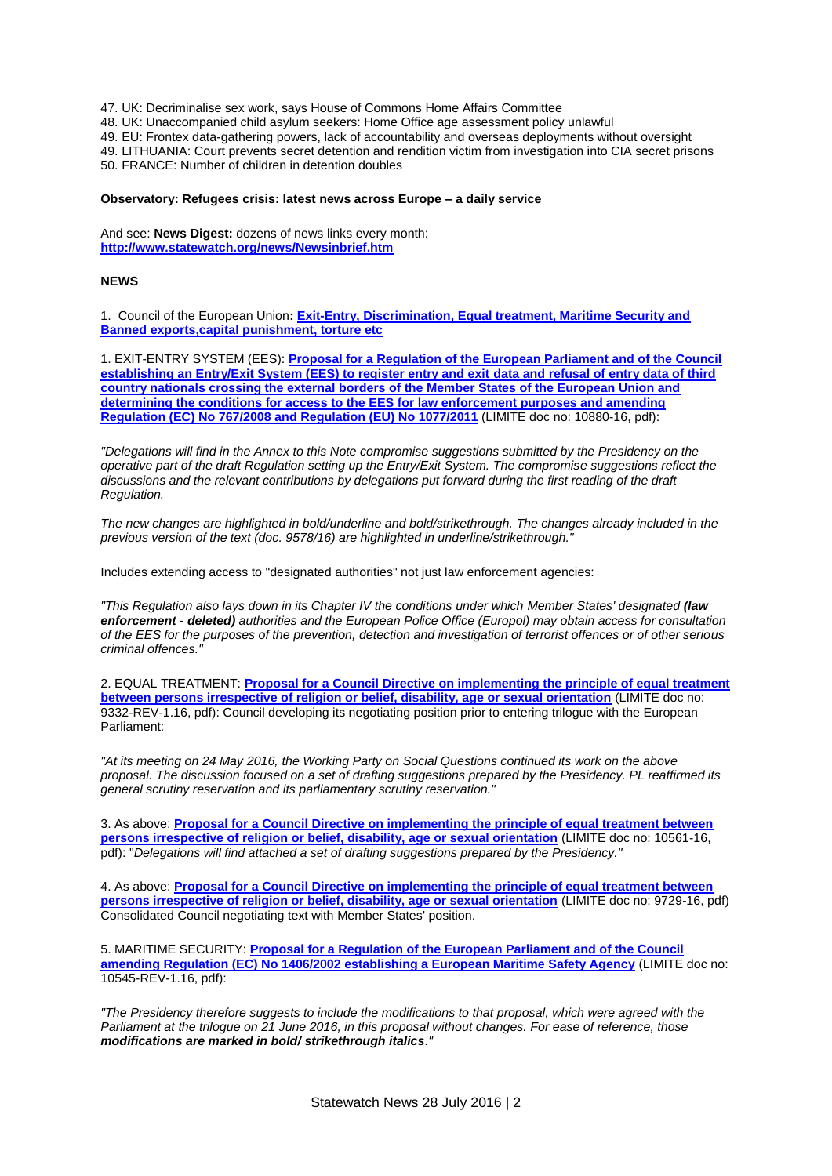47. UK: Decriminalise sex work, says House of Commons Home Affairs Committee

48. UK: Unaccompanied child asylum seekers: Home Office age assessment policy unlawful

49. EU: Frontex data-gathering powers, lack of accountability and overseas deployments without oversight

49. LITHUANIA: Court prevents secret detention and rendition victim from investigation into CIA secret prisons

50. FRANCE: Number of children in detention doubles

### **Observatory: Refugees crisis: latest news across Europe – a daily service**

And see: **News Digest:** dozens of news links every month: **<http://www.statewatch.org/news/Newsinbrief.htm>**

## **NEWS**

1. Council of the European Union**[: Exit-Entry, Discrimination, Equal treatment, Maritime Security and](http://www.statewatch.org/news/2016/jul/eu-council-docs-28-7-16.htm)  [Banned exports,capital punishment, torture etc](http://www.statewatch.org/news/2016/jul/eu-council-docs-28-7-16.htm)**

1. EXIT-ENTRY SYSTEM (EES): **[Proposal for a Regulation of the European Parliament and of the Council](http://www.statewatch.org/news/2016/jul/eu-council-smart-borders-ees-reg-operative-part-10880-16.pdf)  [establishing an Entry/Exit System \(EES\) to register entry and exit data and refusal of entry data of third](http://www.statewatch.org/news/2016/jul/eu-council-smart-borders-ees-reg-operative-part-10880-16.pdf)  [country nationals crossing the external borders of the Member States of the European Union and](http://www.statewatch.org/news/2016/jul/eu-council-smart-borders-ees-reg-operative-part-10880-16.pdf)  [determining the conditions for access to the EES for law enforcement purposes and amending](http://www.statewatch.org/news/2016/jul/eu-council-smart-borders-ees-reg-operative-part-10880-16.pdf)  [Regulation \(EC\) No 767/2008 and Regulation \(EU\) No 1077/2011](http://www.statewatch.org/news/2016/jul/eu-council-smart-borders-ees-reg-operative-part-10880-16.pdf)** (LIMITE doc no: 10880-16, pdf):

*"Delegations will find in the Annex to this Note compromise suggestions submitted by the Presidency on the operative part of the draft Regulation setting up the Entry/Exit System. The compromise suggestions reflect the discussions and the relevant contributions by delegations put forward during the first reading of the draft Regulation.*

*The new changes are highlighted in bold/underline and bold/strikethrough. The changes already included in the previous version of the text (doc. 9578/16) are highlighted in underline/strikethrough."*

Includes extending access to "designated authorities" not just law enforcement agencies:

*"This Regulation also lays down in its Chapter IV the conditions under which Member States' designated (law enforcement - deleted) authorities and the European Police Office (Europol) may obtain access for consultation of the EES for the purposes of the prevention, detection and investigation of terrorist offences or of other serious criminal offences."*

2. EQUAL TREATMENT: **[Proposal for a Council Directive on implementing the principle of equal treatment](http://www.statewatch.org/news/2016/jul/eu-council-social-questions-wp-equality-directive-op-09332-rev1-16.pdf)  [between persons irrespective of religion or belief, disability, age or sexual orientation](http://www.statewatch.org/news/2016/jul/eu-council-social-questions-wp-equality-directive-op-09332-rev1-16.pdf)** (LIMITE doc no: 9332-REV-1.16, pdf): Council developing its negotiating position prior to entering trilogue with the European Parliament:

*"At its meeting on 24 May 2016, the Working Party on Social Questions continued its work on the above proposal. The discussion focused on a set of drafting suggestions prepared by the Presidency. PL reaffirmed its general scrutiny reservation and its parliamentary scrutiny reservation."*

3. As above: **[Proposal for a Council Directive on implementing the principle of equal treatment between](http://www.statewatch.org/news/2016/jul/eu-council-pres-equality-directive-drafting-suggestions-10561-16.pdf)  [persons irrespective of religion or belief, disability, age or sexual orientation](http://www.statewatch.org/news/2016/jul/eu-council-pres-equality-directive-drafting-suggestions-10561-16.pdf)** (LIMITE doc no: 10561-16, pdf): "*Delegations will find attached a set of drafting suggestions prepared by the Presidency."*

4. As above: **[Proposal for a Council Directive on implementing the principle of equal treatment between](http://www.statewatch.org/news/2016/jul/eu-council-equal-treatment-directive-note-9729-16.pdf)  [persons irrespective of religion or belief, disability, age or sexual orientation](http://www.statewatch.org/news/2016/jul/eu-council-equal-treatment-directive-note-9729-16.pdf)** (LIMITE doc no: 9729-16, pdf) Consolidated Council negotiating text with Member States' position.

5. MARITIME SECURITY: **[Proposal for a Regulation of the European Parliament and of the Council](http://www.statewatch.org/news/2016/jul/eu-council-emsa-regulation-revisal-text-10545-rev1-16.pdf)  [amending Regulation \(EC\) No 1406/2002 establishing a European Maritime Safety Agency](http://www.statewatch.org/news/2016/jul/eu-council-emsa-regulation-revisal-text-10545-rev1-16.pdf)** (LIMITE doc no: 10545-REV-1.16, pdf):

*"The Presidency therefore suggests to include the modifications to that proposal, which were agreed with the Parliament at the trilogue on 21 June 2016, in this proposal without changes. For ease of reference, those modifications are marked in bold/ strikethrough italics."*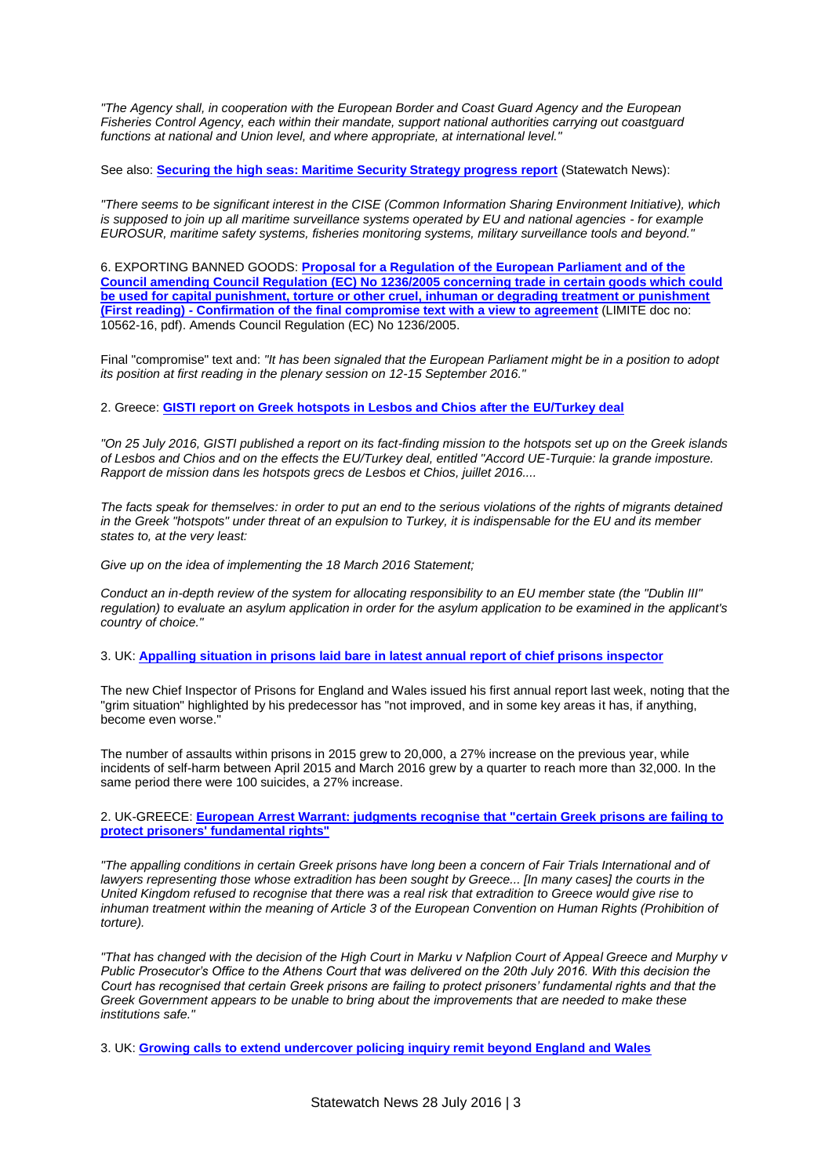*"The Agency shall, in cooperation with the European Border and Coast Guard Agency and the European Fisheries Control Agency, each within their mandate, support national authorities carrying out coastguard functions at national and Union level, and where appropriate, at international level."*

See also: **[Securing the high seas: Maritime Security Strategy progress report](http://statewatch.org/news/2016/jul/eu-mss-report.htm)** (Statewatch News):

*"There seems to be significant interest in the CISE (Common Information Sharing Environment Initiative), which is supposed to join up all maritime surveillance systems operated by EU and national agencies - for example EUROSUR, maritime safety systems, fisheries monitoring systems, military surveillance tools and beyond."*

6. EXPORTING BANNED GOODS: **[Proposal for a Regulation of the European Parliament and of the](http://www.statewatch.org/news/2016/jul/eu-council-torture-goods-regulation-compromise-text-10562-16.pdf)  [Council amending Council Regulation \(EC\) No 1236/2005 concerning trade in certain goods which could](http://www.statewatch.org/news/2016/jul/eu-council-torture-goods-regulation-compromise-text-10562-16.pdf)  [be used for capital punishment, torture or other cruel, inhuman or degrading treatment or punishment](http://www.statewatch.org/news/2016/jul/eu-council-torture-goods-regulation-compromise-text-10562-16.pdf)  (First reading) - [Confirmation of the final compromise text with a view to agreement](http://www.statewatch.org/news/2016/jul/eu-council-torture-goods-regulation-compromise-text-10562-16.pdf)** (LIMITE doc no: 10562-16, pdf). Amends Council Regulation (EC) No 1236/2005.

Final "compromise" text and: *"It has been signaled that the European Parliament might be in a position to adopt its position at first reading in the plenary session on 12-15 September 2016."*

2. Greece: **[GISTI report on Greek hotspots in Lesbos and Chios after the EU/Turkey deal](http://www.statewatch.org/news/2016/jul/gisti-report-greece.htm)**

*"On 25 July 2016, GISTI published a report on its fact-finding mission to the hotspots set up on the Greek islands of Lesbos and Chios and on the effects the EU/Turkey deal, entitled "Accord UE-Turquie: la grande imposture. Rapport de mission dans les hotspots grecs de Lesbos et Chios, juillet 2016....*

*The facts speak for themselves: in order to put an end to the serious violations of the rights of migrants detained in the Greek "hotspots" under threat of an expulsion to Turkey, it is indispensable for the EU and its member states to, at the very least:*

*Give up on the idea of implementing the 18 March 2016 Statement;* 

*Conduct an in-depth review of the system for allocating responsibility to an EU member state (the "Dublin III" regulation) to evaluate an asylum application in order for the asylum application to be examined in the applicant's country of choice."*

3. UK: **[Appalling situation in prisons laid bare in latest annual report of chief prisons inspector](http://www.statewatch.org/news/2016/jul/uk-prisons-report.htm)**

The new Chief Inspector of Prisons for England and Wales issued his first annual report last week, noting that the "grim situation" highlighted by his predecessor has "not improved, and in some key areas it has, if anything, become even worse.

The number of assaults within prisons in 2015 grew to 20,000, a 27% increase on the previous year, while incidents of self-harm between April 2015 and March 2016 grew by a quarter to reach more than 32,000. In the same period there were 100 suicides, a 27% increase.

2. UK-GREECE: **[European Arrest Warrant: judgments recognise that "certain Greek prisons are failing to](http://statewatch.org/news/2016/jul/uk-gr-eaw-judgments.htm)  [protect prisoners' fundamental rights"](http://statewatch.org/news/2016/jul/uk-gr-eaw-judgments.htm)**

*"The appalling conditions in certain Greek prisons have long been a concern of Fair Trials International and of lawyers representing those whose extradition has been sought by Greece... [In many cases] the courts in the United Kingdom refused to recognise that there was a real risk that extradition to Greece would give rise to*  inhuman treatment within the meaning of Article 3 of the European Convention on Human Rights (Prohibition of *torture).*

*"That has changed with the decision of the High Court in Marku v Nafplion Court of Appeal Greece and Murphy v Public Prosecutor's Office to the Athens Court that was delivered on the 20th July 2016. With this decision the Court has recognised that certain Greek prisons are failing to protect prisoners' fundamental rights and that the Greek Government appears to be unable to bring about the improvements that are needed to make these institutions safe."*

3. UK: **[Growing calls to extend undercover policing inquiry remit beyond England and Wales](http://statewatch.org/news/2016/jul/uk-ucpi-remit.htm)**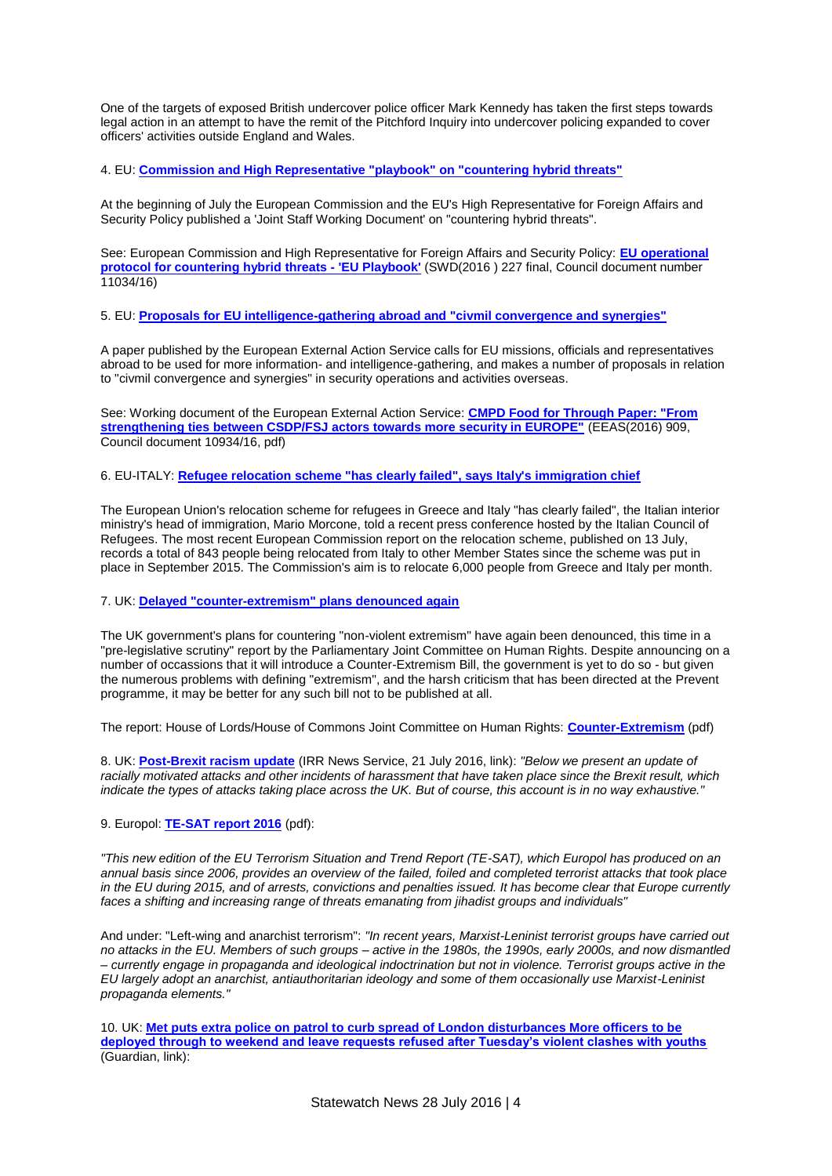One of the targets of exposed British undercover police officer Mark Kennedy has taken the first steps towards legal action in an attempt to have the remit of the Pitchford Inquiry into undercover policing expanded to cover officers' activities outside England and Wales.

4. EU: **[Commission and High Representative "playbook" on "countering hybrid threats"](http://statewatch.org/news/2016/jul/eu-hybrid-threats.htm)**

At the beginning of July the European Commission and the EU's High Representative for Foreign Affairs and Security Policy published a 'Joint Staff Working Document' on "countering hybrid threats".

See: European Commission and High Representative for Foreign Affairs and Security Policy: **[EU operational](http://statewatch.org/news/2016/jul/eu-com-countering-hybrid-threats-playbook-swd-227-16.pdf)  [protocol for countering hybrid threats -](http://statewatch.org/news/2016/jul/eu-com-countering-hybrid-threats-playbook-swd-227-16.pdf) 'EU Playbook'** (SWD(2016 ) 227 final, Council document number 11034/16)

5. EU: **[Proposals for EU intelligence-gathering abroad and "civmil convergence and synergies"](http://statewatch.org/news/2016/jul/eu-eeas-security-paper.htm)**

A paper published by the European External Action Service calls for EU missions, officials and representatives abroad to be used for more information- and intelligence-gathering, and makes a number of proposals in relation to "civmil convergence and synergies" in security operations and activities overseas.

See: Working document of the European External Action Service: **[CMPD Food for Through Paper: "From](http://statewatch.org/news/2016/jul/eeas-food-for-thought-more-security-in-europe-10934-16.pdf)  [strengthening ties between CSDP/FSJ actors towards more security in EUROPE"](http://statewatch.org/news/2016/jul/eeas-food-for-thought-more-security-in-europe-10934-16.pdf)** (EEAS(2016) 909, Council document 10934/16, pdf)

6. EU-ITALY: **[Refugee relocation scheme "has clearly failed", says Italy's immigration chief](http://statewatch.org/news/2016/jul/italy-relocation.htm)**

The European Union's relocation scheme for refugees in Greece and Italy "has clearly failed", the Italian interior ministry's head of immigration, Mario Morcone, told a recent press conference hosted by the Italian Council of Refugees. The most recent European Commission report on the relocation scheme, published on 13 July, records a total of 843 people being relocated from Italy to other Member States since the scheme was put in place in September 2015. The Commission's aim is to relocate 6,000 people from Greece and Italy per month.

7. UK: **[Delayed "counter-extremism" plans denounced again](http://statewatch.org/news/2016/jul/uk-extremism.htm)**

The UK government's plans for countering "non-violent extremism" have again been denounced, this time in a "pre-legislative scrutiny" report by the Parliamentary Joint Committee on Human Rights. Despite announcing on a number of occassions that it will introduce a Counter-Extremism Bill, the government is yet to do so - but given the numerous problems with defining "extremism", and the harsh criticism that has been directed at the Prevent programme, it may be better for any such bill not to be published at all.

The report: House of Lords/House of Commons Joint Committee on Human Rights: **[Counter-Extremism](http://www.statewatch.org/news/2016/jul/uk-jchr-extremism-report-7-16.pdf)** (pdf)

8. UK: **[Post-Brexit racism update](http://www.irr.org.uk/news/post-brexit-racism-update/)** (IRR News Service, 21 July 2016, link): *"Below we present an update of racially motivated attacks and other incidents of harassment that have taken place since the Brexit result, which indicate the types of attacks taking place across the UK. But of course, this account is in no way exhaustive."*

9. Europol: **[TE-SAT report 2016](http://www.statewatch.org/news/2016/jul/europol-te-sat-repor-2016.pdf)** (pdf):

*"This new edition of the EU Terrorism Situation and Trend Report (TE-SAT), which Europol has produced on an annual basis since 2006, provides an overview of the failed, foiled and completed terrorist attacks that took place in the EU during 2015, and of arrests, convictions and penalties issued. It has become clear that Europe currently faces a shifting and increasing range of threats emanating from jihadist groups and individuals"*

And under: "Left-wing and anarchist terrorism": *"In recent years, Marxist-Leninist terrorist groups have carried out no attacks in the EU. Members of such groups – active in the 1980s, the 1990s, early 2000s, and now dismantled – currently engage in propaganda and ideological indoctrination but not in violence. Terrorist groups active in the EU largely adopt an anarchist, antiauthoritarian ideology and some of them occasionally use Marxist-Leninist propaganda elements."*

10. UK: **[Met puts extra police on patrol to curb spread of London disturbances More officers to be](https://www.theguardian.com/uk-news/2016/jul/20/met-condems-unacceptable-disorder-at-hyde-park-water-fight)  [deployed through to weekend and leave requests refused after Tuesday's violent clashes with youths](https://www.theguardian.com/uk-news/2016/jul/20/met-condems-unacceptable-disorder-at-hyde-park-water-fight)** (Guardian, link):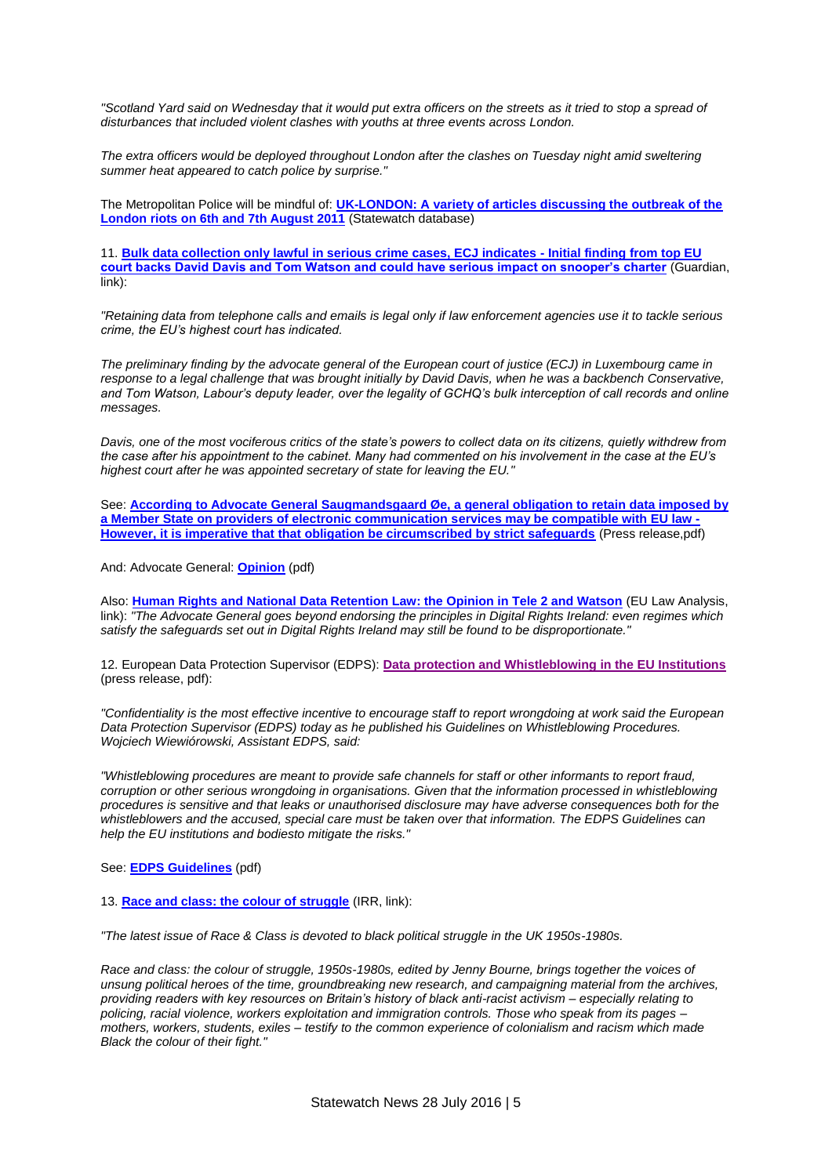*"Scotland Yard said on Wednesday that it would put extra officers on the streets as it tried to stop a spread of disturbances that included violent clashes with youths at three events across London.*

*The extra officers would be deployed throughout London after the clashes on Tuesday night amid sweltering summer heat appeared to catch police by surprise."*

The Metropolitan Police will be mindful of: **[UK-LONDON: A variety of articles discussing the outbreak of the](http://database.statewatch.org/article.asp?aid=30833)  [London riots on 6th and 7th August 2011](http://database.statewatch.org/article.asp?aid=30833)** (Statewatch database)

11. **[Bulk data collection only lawful in serious crime cases, ECJ indicates -](https://www.theguardian.com/world/2016/jul/19/bulk-data-collection-can-only-be-used-to-fight-serious) Initial finding from top EU [court backs David Davis and Tom Watson and could have serious impact on snooper's charter](https://www.theguardian.com/world/2016/jul/19/bulk-data-collection-can-only-be-used-to-fight-serious)** (Guardian, link):

*"Retaining data from telephone calls and emails is legal only if law enforcement agencies use it to tackle serious crime, the EU's highest court has indicated.*

*The preliminary finding by the advocate general of the European court of justice (ECJ) in Luxembourg came in*  response to a legal challenge that was brought initially by David Davis, when he was a backbench Conservative, *and Tom Watson, Labour's deputy leader, over the legality of GCHQ's bulk interception of call records and online messages.*

*Davis, one of the most vociferous critics of the state's powers to collect data on its citizens, quietly withdrew from the case after his appointment to the cabinet. Many had commented on his involvement in the case at the EU's highest court after he was appointed secretary of state for leaving the EU."*

See: **[According to Advocate General Saugmandsgaard Øe, a general obligation to retain data imposed by](http://www.statewatch.org/news/news/2016/jul/eu-cjeu-dat-ret-ag-opinion-prel.pdf)  [a Member State on providers of electronic communication services may be compatible with EU law -](http://www.statewatch.org/news/news/2016/jul/eu-cjeu-dat-ret-ag-opinion-prel.pdf) [However, it is imperative that that obligation be circumscribed by strict safeguards](http://www.statewatch.org/news/news/2016/jul/eu-cjeu-dat-ret-ag-opinion-prel.pdf)** (Press release,pdf)

And: Advocate General: **[Opinion](http://www.statewatch.org/news/news/2016/jul/eu-cjeu-wataon-case-ag-opinion.pdf)** (pdf)

Also: **[Human Rights and National Data Retention Law: the Opinion in Tele 2 and Watson](http://eulawanalysis.blogspot.co.uk/2016/07/human-rights-and-national-data.html)** (EU Law Analysis, link): *"The Advocate General goes beyond endorsing the principles in Digital Rights Ireland: even regimes which satisfy the safeguards set out in Digital Rights Ireland may still be found to be disproportionate."*

12. European Data Protection Supervisor (EDPS): **[Data protection and Whistleblowing in the EU Institutions](http://www.statewatch.org/news/news/2016/jul/eu-edps-whistleblowing-guidelines-prel.pdf)** (press release, pdf):

*"Confidentiality is the most effective incentive to encourage staff to report wrongdoing at work said the European Data Protection Supervisor (EDPS) today as he published his Guidelines on Whistleblowing Procedures. Wojciech Wiewiórowski, Assistant EDPS, said:*

*"Whistleblowing procedures are meant to provide safe channels for staff or other informants to report fraud, corruption or other serious wrongdoing in organisations. Given that the information processed in whistleblowing procedures is sensitive and that leaks or unauthorised disclosure may have adverse consequences both for the whistleblowers and the accused, special care must be taken over that information. The EDPS Guidelines can help the EU institutions and bodiesto mitigate the risks."*

See: **[EDPS Guidelines](http://www.statewatch.org/news/news/2016/jul/eu-edps-whistleblowing-guidelines.pdf)** (pdf)

13. **[Race and class: the colour of struggle](http://www.irr.org.uk/news/race-and-class-the-colour-of-the-struggle/)** (IRR, link):

*"The latest issue of Race & Class is devoted to black political struggle in the UK 1950s-1980s.*

*Race and class: the colour of struggle, 1950s-1980s, edited by Jenny Bourne, brings together the voices of unsung political heroes of the time, groundbreaking new research, and campaigning material from the archives, providing readers with key resources on Britain's history of black anti-racist activism – especially relating to policing, racial violence, workers exploitation and immigration controls. Those who speak from its pages – mothers, workers, students, exiles – testify to the common experience of colonialism and racism which made Black the colour of their fight."*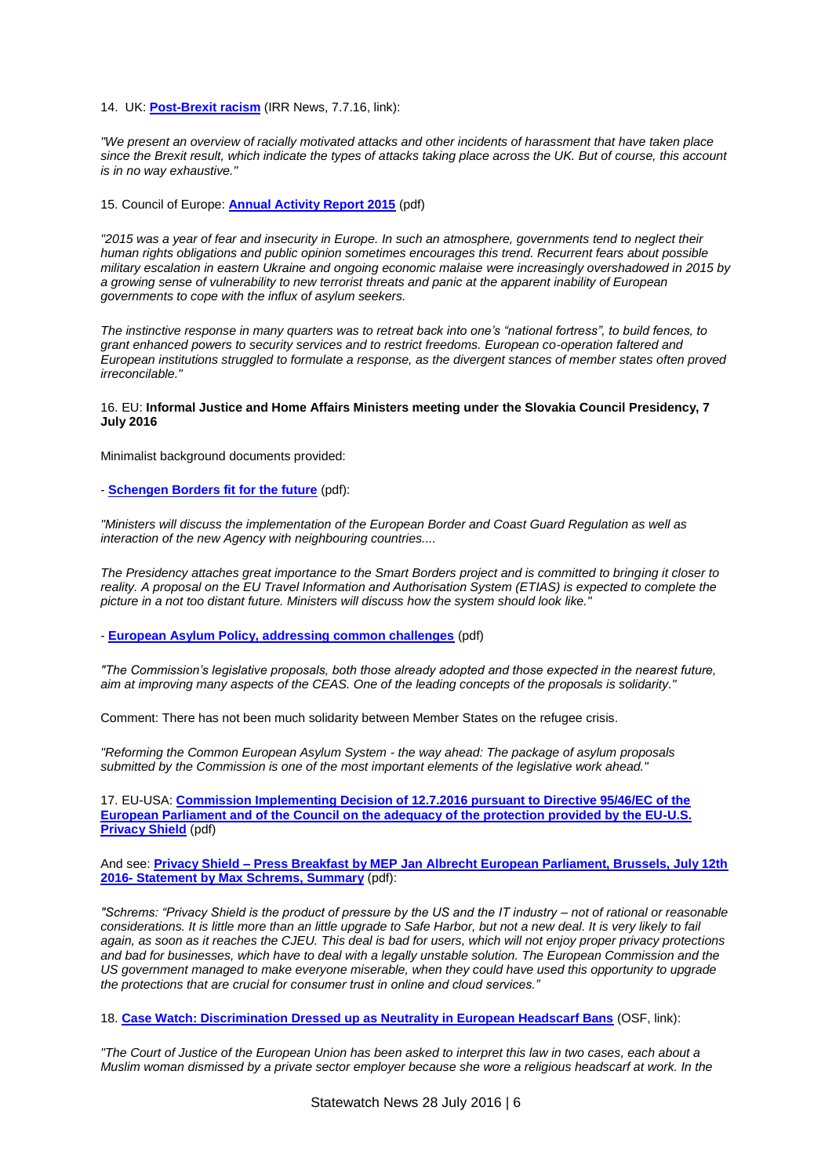14. UK: **[Post-Brexit racism](http://www.irr.org.uk/news/post-brexit-racism/)** (IRR News, 7.7.16, link):

*"We present an overview of racially motivated attacks and other incidents of harassment that have taken place since the Brexit result, which indicate the types of attacks taking place across the UK. But of course, this account is in no way exhaustive."*

15. Council of Europe: **[Annual Activity Report 2015](http://www.statewatch.org/news/2016/jul/coe-hr-comm-annual-report.pdf)** (pdf)

*"2015 was a year of fear and insecurity in Europe. In such an atmosphere, governments tend to neglect their human rights obligations and public opinion sometimes encourages this trend. Recurrent fears about possible military escalation in eastern Ukraine and ongoing economic malaise were increasingly overshadowed in 2015 by a growing sense of vulnerability to new terrorist threats and panic at the apparent inability of European governments to cope with the influx of asylum seekers.*

*The instinctive response in many quarters was to retreat back into one's "national fortress", to build fences, to grant enhanced powers to security services and to restrict freedoms. European co-operation faltered and European institutions struggled to formulate a response, as the divergent stances of member states often proved irreconcilable."*

# 16. EU: **Informal Justice and Home Affairs Ministers meeting under the Slovakia Council Presidency, 7 July 2016**

Minimalist background documents provided:

- **[Schengen Borders fit for the future](http://www.statewatch.org/news/2016/jul/eu-jha-informal-7-7-16-schengen-borders-fit-for-the-future.pdf)** (pdf):

*"Ministers will discuss the implementation of the European Border and Coast Guard Regulation as well as interaction of the new Agency with neighbouring countries....*

*The Presidency attaches great importance to the Smart Borders project and is committed to bringing it closer to*  reality. A proposal on the EU Travel Information and Authorisation System (ETIAS) is expected to complete the *picture in a not too distant future. Ministers will discuss how the system should look like."*

- **[European Asylum Policy, addressing common challenges](http://www.statewatch.org/news/2016/jul/eu-jha-informal-7-july-%20asylum-policy.pdf)** (pdf)

*"The Commission's legislative proposals, both those already adopted and those expected in the nearest future, aim at improving many aspects of the CEAS. One of the leading concepts of the proposals is solidarity."*

Comment: There has not been much solidarity between Member States on the refugee crisis.

*"Reforming the Common European Asylum System - the way ahead: The package of asylum proposals submitted by the Commission is one of the most important elements of the legislative work ahead."*

17. EU-USA: **Commission Implementing Decision of [12.7.2016 pursuant to Directive 95/46/EC of the](http://www.statewatch.org/news/2016/jul/eu-usa-com-privacy-shield-adequacy-decision.pdf)  [European Parliament and of the Council on the adequacy of the protection provided by the EU-U.S.](http://www.statewatch.org/news/2016/jul/eu-usa-com-privacy-shield-adequacy-decision.pdf)  [Privacy Shield](http://www.statewatch.org/news/2016/jul/eu-usa-com-privacy-shield-adequacy-decision.pdf)** (pdf)

And see: **Privacy Shield – [Press Breakfast by MEP Jan Albrecht European Parliament, Brussels, July 12th](http://www.statewatch.org/news/2016/jul/eu-usa-porivacy-shield-mark-schrems-statement.pdf)  2016- [Statement by Max Schrems, Summary](http://www.statewatch.org/news/2016/jul/eu-usa-porivacy-shield-mark-schrems-statement.pdf)** (pdf):

*"Schrems: "Privacy Shield is the product of pressure by the US and the IT industry – not of rational or reasonable considerations. It is little more than an little upgrade to Safe Harbor, but not a new deal. It is very likely to fail again, as soon as it reaches the CJEU. This deal is bad for users, which will not enjoy proper privacy protections and bad for businesses, which have to deal with a legally unstable solution. The European Commission and the US government managed to make everyone miserable, when they could have used this opportunity to upgrade the protections that are crucial for consumer trust in online and cloud services."*

18. **[Case Watch: Discrimination Dressed up as Neutrality in European Headscarf Bans](https://www.opensocietyfoundations.org/voices/case-watch-discrimination-dressed-neutrality-european-headscarf-bans)** (OSF, link):

*"The Court of Justice of the European Union has been asked to interpret this law in two cases, each about a Muslim woman dismissed by a private sector employer because she wore a religious headscarf at work. In the*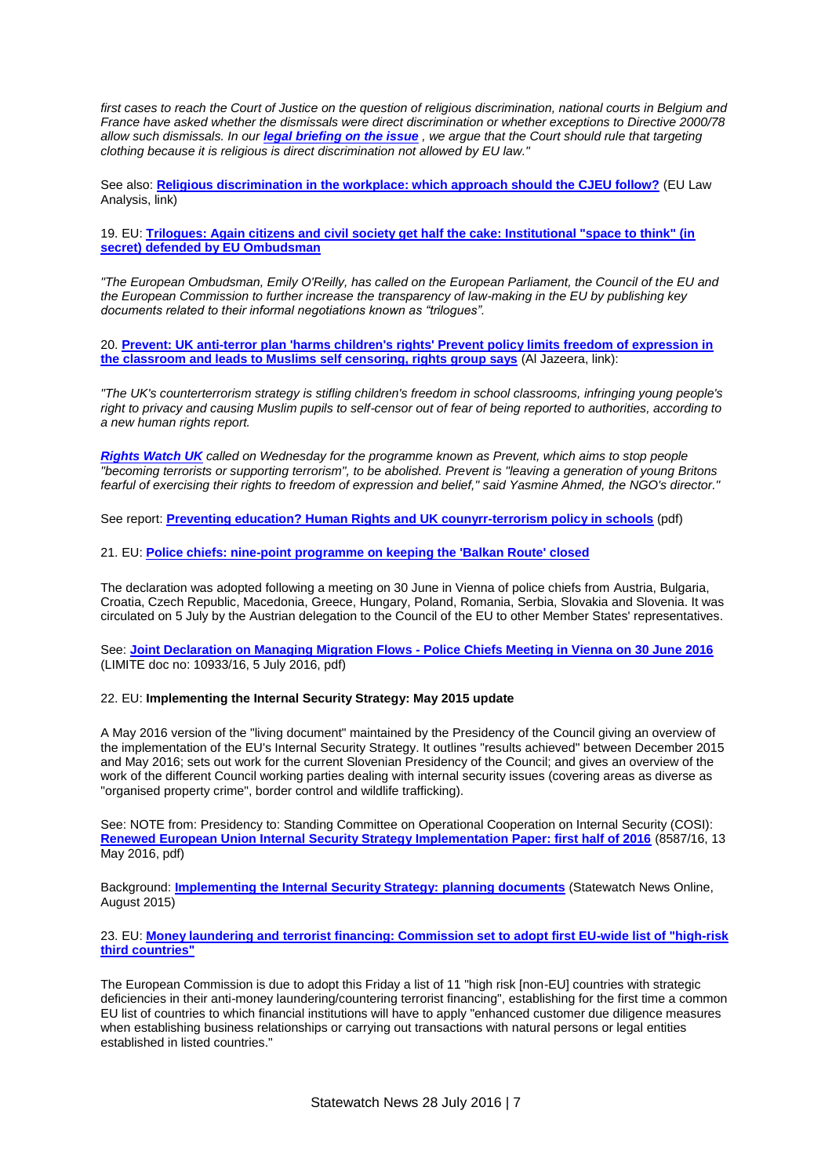*first cases to reach the Court of Justice on the question of religious discrimination, national courts in Belgium and France have asked whether the dismissals were direct discrimination or whether exceptions to Directive 2000/78 allow such dismissals. In our [legal briefing on the issue](https://www.opensocietyfoundations.org/briefing-papers/employers-bar-religious-clothing-and-european-union-discrimination-law) , we argue that the Court should rule that targeting clothing because it is religious is direct discrimination not allowed by EU law."*

See also: **[Religious discrimination in the workplace: which approach should the CJEU follow?](http://eulawanalysis.blogspot.co.uk/2016/07/religious-discrimination-in-workplace.html)** (EU Law Analysis, link)

19. EU: **[Trilogues: Again citizens and civil society get half the cake: Institutional "space to think" \(in](http://www.statewatch.org/news/2016/jul/eu-trilogues-ombudsman-decision.htm)  [secret\) defended by EU Ombudsman](http://www.statewatch.org/news/2016/jul/eu-trilogues-ombudsman-decision.htm)**

*"The European Ombudsman, Emily O'Reilly, has called on the European Parliament, the Council of the EU and the European Commission to further increase the transparency of law-making in the EU by publishing key documents related to their informal negotiations known as "trilogues".*

20. **[Prevent: UK anti-terror plan 'harms children's rights' Prevent policy limits freedom of expression in](http://www.aljazeera.com/indepth/features/2016/07/prevent-uk-anti-terror-plan-harms-children-rights-160712201558721.html)  [the classroom and leads to Muslims self censoring, rights group says](http://www.aljazeera.com/indepth/features/2016/07/prevent-uk-anti-terror-plan-harms-children-rights-160712201558721.html)** (Al Jazeera, link):

*"The UK's counterterrorism strategy is stifling children's freedom in school classrooms, infringing young people's right to privacy and causing Muslim pupils to self-censor out of fear of being reported to authorities, according to a new human rights report.*

*[Rights Watch UK](http://rwuk.org/wp-content/uploads/2016/02/20160705_Prevent-Report.pdf) called on Wednesday for the programme known as Prevent, which aims to stop people "becoming terrorists or supporting terrorism", to be abolished. Prevent is "leaving a generation of young Britons fearful of exercising their rights to freedom of expression and belief," said Yasmine Ahmed, the NGO's director."*

See report: **[Preventing education? Human Rights and UK counyrr-terrorism policy in schools](http://www.statewatch.org/news/2016/jul/preventing-education-final-to-print-3.compressed-1.pdf)** (pdf)

21. EU: **[Police chiefs: nine-point programme on keeping the 'Balkan Route' closed](http://www.statewatch.org/news/2016/jul/eu-police-chiefs-migration.htm)**

The declaration was adopted following a meeting on 30 June in Vienna of police chiefs from Austria, Bulgaria, Croatia, Czech Republic, Macedonia, Greece, Hungary, Poland, Romania, Serbia, Slovakia and Slovenia. It was circulated on 5 July by the Austrian delegation to the Council of the EU to other Member States' representatives.

See: **[Joint Declaration on Managing Migration Flows -](http://www.statewatch.org/news/2016/jul/eu-council-police-chiefs-migration-statement-10933-16.pdf) Police Chiefs Meeting in Vienna on 30 June 2016** (LIMITE doc no: 10933/16, 5 July 2016, pdf)

# 22. EU: **Implementing the Internal Security Strategy: May 2015 update**

A May 2016 version of the "living document" maintained by the Presidency of the Council giving an overview of the implementation of the EU's Internal Security Strategy. It outlines "results achieved" between December 2015 and May 2016; sets out work for the current Slovenian Presidency of the Council; and gives an overview of the work of the different Council working parties dealing with internal security issues (covering areas as diverse as "organised property crime", border control and wildlife trafficking).

See: NOTE from: Presidency to: Standing Committee on Operational Cooperation on Internal Security (COSI): **[Renewed European Union Internal Security Strategy Implementation Paper: first half of 2016](http://statewatch.org/news/2016/jul/eu-council-internal-security-implementation-08587-16.pdf)** (8587/16, 13 May 2016, pdf)

Background: **[Implementing the Internal Security Strategy: planning documents](http://database.statewatch.org/article.asp?aid=35274)** (Statewatch News Online, August 2015)

23. EU: **[Money laundering and terrorist financing: Commission set to adopt first EU-wide list of "high-risk](http://statewatch.org/news/2016/jul/eu-com-aml-ctf-list.htm)  [third countries"](http://statewatch.org/news/2016/jul/eu-com-aml-ctf-list.htm)**

The European Commission is due to adopt this Friday a list of 11 "high risk [non-EU] countries with strategic deficiencies in their anti-money laundering/countering terrorist financing", establishing for the first time a common EU list of countries to which financial institutions will have to apply "enhanced customer due diligence measures when establishing business relationships or carrying out transactions with natural persons or legal entities established in listed countries."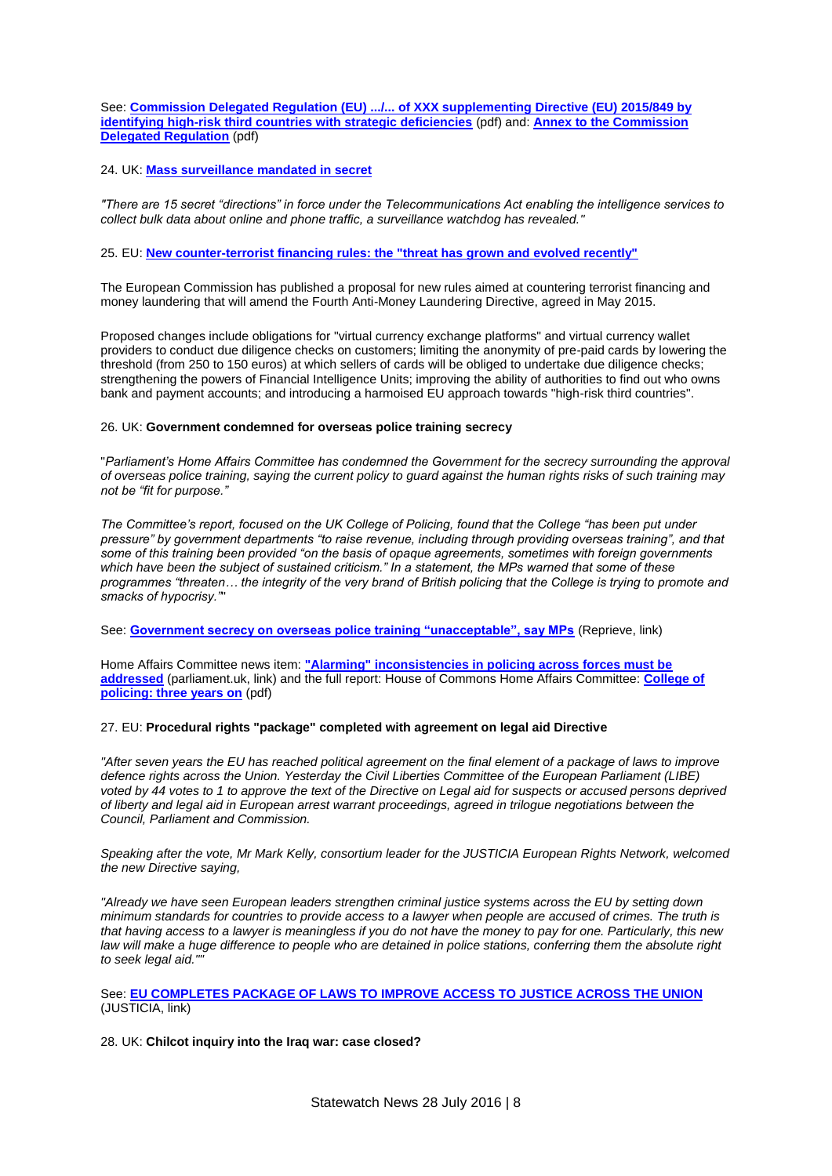See: **[Commission Delegated Regulation \(EU\) .../... of XXX supplementing Directive \(EU\) 2015/849 by](http://statewatch.org/news/2016/jul/eu-com-money-laundering-terrorist-financing-draft-reg-7-16.pdf)  [identifying high-risk third countries with strategic deficiencies](http://statewatch.org/news/2016/jul/eu-com-money-laundering-terrorist-financing-draft-reg-7-16.pdf)** (pdf) and: **[Annex to the Commission](http://statewatch.org/news/2016/jul/eu-com-money-laundering-terrorist-financing-draft-reg-annex-7-16.pdf)  [Delegated Regulation](http://statewatch.org/news/2016/jul/eu-com-money-laundering-terrorist-financing-draft-reg-annex-7-16.pdf)** (pdf)

## 24. UK: **[Mass surveillance mandated in secret](http://statewatch.org/news/2016/jul/uk-telecoms-act-surveillance.htm)**

*"There are 15 secret "directions" in force under the Telecommunications Act enabling the intelligence services to collect bulk data about online and phone traffic, a surveillance watchdog has revealed."*

## 25. EU: **[New counter-terrorist financing rules: the "threat has grown and evolved recently"](http://statewatch.org/news/2016/jul/eu-money-laundering.htm)**

The European Commission has published a proposal for new rules aimed at countering terrorist financing and money laundering that will amend the Fourth Anti-Money Laundering Directive, agreed in May 2015.

Proposed changes include obligations for "virtual currency exchange platforms" and virtual currency wallet providers to conduct due diligence checks on customers; limiting the anonymity of pre-paid cards by lowering the threshold (from 250 to 150 euros) at which sellers of cards will be obliged to undertake due diligence checks; strengthening the powers of Financial Intelligence Units; improving the ability of authorities to find out who owns bank and payment accounts; and introducing a harmoised EU approach towards "high-risk third countries".

### 26. UK: **Government condemned for overseas police training secrecy**

"*Parliament's Home Affairs Committee has condemned the Government for the secrecy surrounding the approval of overseas police training, saying the current policy to guard against the human rights risks of such training may not be "fit for purpose."*

*The Committee's report, focused on the UK College of Policing, found that the College "has been put under pressure" by government departments "to raise revenue, including through providing overseas training", and that some of this training been provided "on the basis of opaque agreements, sometimes with foreign governments which have been the subject of sustained criticism." In a statement, the MPs warned that some of these programmes "threaten… the integrity of the very brand of British policing that the College is trying to promote and smacks of hypocrisy."*"

See: **[Government secrecy on overseas police training "unacceptable", say MPs](http://www.reprieve.org.uk/press/government-secrecy-on-overseas-police-training-unacceptable-say-mps/)** (Reprieve, link)

Home Affairs Committee news item: **["Alarming" inconsistencies in policing across forces must be](http://www.parliament.uk/business/committees/committees-a-z/commons-select/home-affairs-committee/news-parliament-2015/college-of-policing-report-published-16-17/)  [addressed](http://www.parliament.uk/business/committees/committees-a-z/commons-select/home-affairs-committee/news-parliament-2015/college-of-policing-report-published-16-17/)** (parliament.uk, link) and the full report: House of Commons Home Affairs Committee: **[College of](http://statewatch.org/news/2016/jul/uk-hac-college-of-policing-report-7-16.pdf)  [policing: three years on](http://statewatch.org/news/2016/jul/uk-hac-college-of-policing-report-7-16.pdf)** (pdf)

## 27. EU: **Procedural rights "package" completed with agreement on legal aid Directive**

*"After seven years the EU has reached political agreement on the final element of a package of laws to improve defence rights across the Union. Yesterday the Civil Liberties Committee of the European Parliament (LIBE) voted by 44 votes to 1 to approve the text of the Directive on Legal aid for suspects or accused persons deprived of liberty and legal aid in European arrest warrant proceedings, agreed in trilogue negotiations between the Council, Parliament and Commission.*

*Speaking after the vote, Mr Mark Kelly, consortium leader for the JUSTICIA European Rights Network, welcomed the new Directive saying,*

*"Already we have seen European leaders strengthen criminal justice systems across the EU by setting down minimum standards for countries to provide access to a lawyer when people are accused of crimes. The truth is that having access to a lawyer is meaningless if you do not have the money to pay for one. Particularly, this new*  law will make a huge difference to people who are detained in police stations, conferring them the absolute right *to seek legal aid.""*

# See: **[EU COMPLETES PACKAGE OF LAWS TO IMPROVE ACCESS TO JUSTICE ACROSS THE UNION](http://eujusticia.net/index.php/news/single/eu-completes-package-of-laws-to-improve-access-to-justice-across-the-union)** (JUSTICIA, link)

28. UK: **Chilcot inquiry into the Iraq war: case closed?**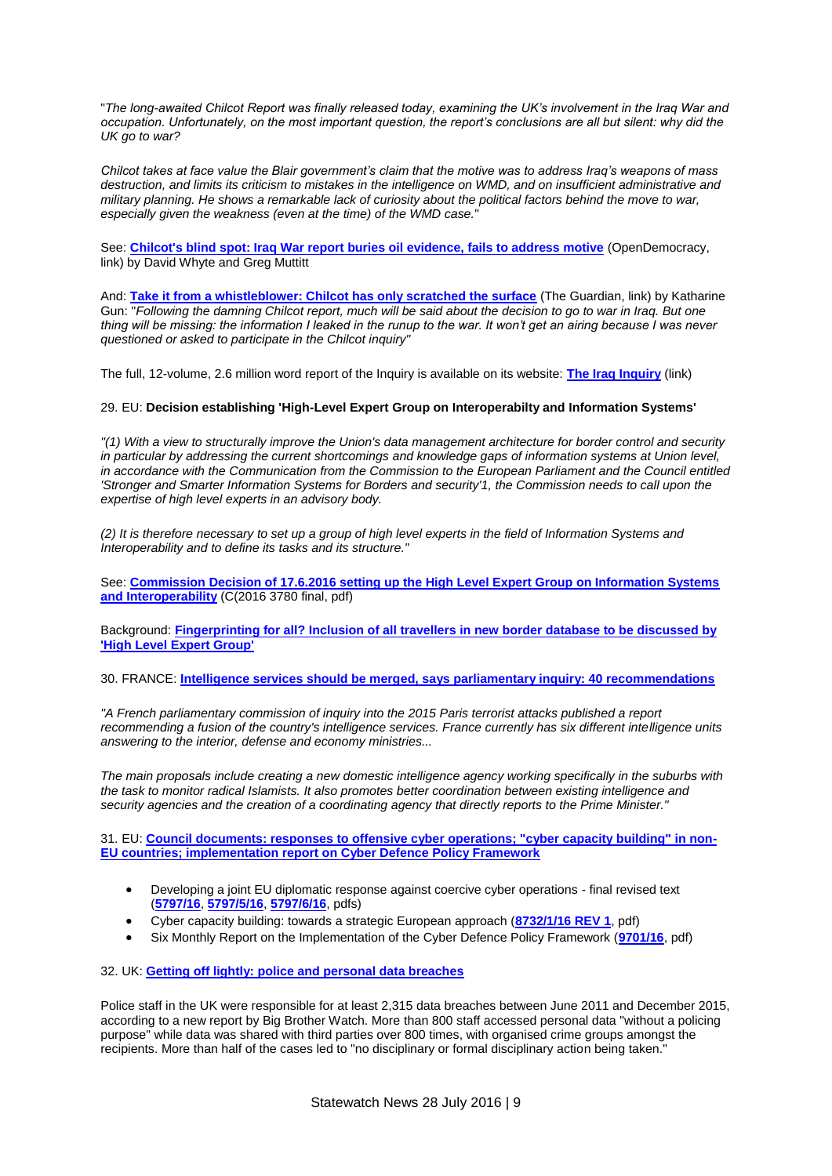"*The long-awaited Chilcot Report was finally released today, examining the UK's involvement in the Iraq War and occupation. Unfortunately, on the most important question, the report's conclusions are all but silent: why did the UK go to war?*

*Chilcot takes at face value the Blair government's claim that the motive was to address Iraq's weapons of mass*  destruction, and limits its criticism to mistakes in the intelligence on WMD, and on insufficient administrative and *military planning. He shows a remarkable lack of curiosity about the political factors behind the move to war, especially given the weakness (even at the time) of the WMD case.*"

See: **[Chilcot's blind spot: Iraq War report buries oil evidence, fails to address motive](https://www.opendemocracy.net/david-whyte/chilcot-s-oil-blind-spot-in-iraq-war-report)** (OpenDemocracy, link) by David Whyte and Greg Muttitt

And: **[Take it from a whistleblower: Chilcot has only scratched the surface](https://www.theguardian.com/commentisfree/2016/jul/08/chilcot-iraq-war-gchq-inquiry)** (The Guardian, link) by Katharine Gun: "*Following the damning Chilcot report, much will be said about the decision to go to war in Iraq. But one thing will be missing: the information I leaked in the runup to the war. It won't get an airing because I was never questioned or asked to participate in the Chilcot inquiry"*

The full, 12-volume, 2.6 million word report of the Inquiry is available on its website: **[The Iraq Inquiry](http://www.iraqinquiry.org.uk/the-report/)** (link)

# 29. EU: **Decision establishing 'High-Level Expert Group on Interoperabilty and Information Systems'**

*"(1) With a view to structurally improve the Union's data management architecture for border control and security in particular by addressing the current shortcomings and knowledge gaps of information systems at Union level, in accordance with the Communication from the Commission to the European Parliament and the Council entitled 'Stronger and Smarter Information Systems for Borders and security'1, the Commission needs to call upon the expertise of high level experts in an advisory body.*

*(2) It is therefore necessary to set up a group of high level experts in the field of Information Systems and Interoperability and to define its tasks and its structure."*

See: **[Commission Decision of 17.6.2016 setting up the High Level Expert Group on Information Systems](http://statewatch.org/news/2016/jul/eu-com-decision-high-level-interop-info-systems-6-16.pdf)  [and Interoperability](http://statewatch.org/news/2016/jul/eu-com-decision-high-level-interop-info-systems-6-16.pdf)** (C(2016 3780 final, pdf)

Background: **[Fingerprinting for all? Inclusion of all travellers in new border database to be discussed by](http://statewatch.org/news/2016/jul/eu-ees-fingerprints.htm)  ['High Level Expert Group'](http://statewatch.org/news/2016/jul/eu-ees-fingerprints.htm)**

# 30. FRANCE: **[Intelligence services should be merged, says parliamentary inquiry: 40 recommendations](http://statewatch.org/news/2016/jul/fr-intel-services.htm)**

*"A French parliamentary commission of inquiry into the 2015 Paris terrorist attacks published a report recommending a fusion of the country's intelligence services. France currently has six different intelligence units answering to the interior, defense and economy ministries...*

*The main proposals include creating a new domestic intelligence agency working specifically in the suburbs with the task to monitor radical Islamists. It also promotes better coordination between existing intelligence and security agencies and the creation of a coordinating agency that directly reports to the Prime Minister."*

31. EU: **[Council documents: responses to offensive cyber operations; "cyber capacity building" in non-](http://statewatch.org/news/2016/jul/eu-cyber-docs.htm)[EU countries; implementation report on Cyber Defence Policy Framework](http://statewatch.org/news/2016/jul/eu-cyber-docs.htm)**

- Developing a joint EU diplomatic response against coercive cyber operations final revised text (**[5797/16](http://statewatch.org/news/2016/jul/eu-council-diplomatic-response-cyber-ops-5797-16.pdf)**, **[5797/5/16](http://statewatch.org/news/2016/jul/eu-council-diplomatic-response-cyber-ops-5797-5-16.pdf)**, **[5797/6/16](http://statewatch.org/news/2016/jul/eu-council-diplomatic-response-cyber-ops-5797-6-16.pdf)**, pdfs)
- Cyber capacity building: towards a strategic European approach (**[8732/1/16 REV 1](http://statewatch.org/news/2016/jul/eu-council-cyber-capacity-building-8732-1-16.pdf)**, pdf)
- Six Monthly Report on the Implementation of the Cyber Defence Policy Framework (**[9701/16](http://statewatch.org/news/2016/jul/eu-council-cyber-defence-implementation-report-9701-16.pdf)**, pdf)

32. UK: **[Getting off lightly: police and personal data breaches](http://statewatch.org/news/2016/jul/uk-police-data-access.htm)**

Police staff in the UK were responsible for at least 2,315 data breaches between June 2011 and December 2015, according to a new report by Big Brother Watch. More than 800 staff accessed personal data "without a policing purpose" while data was shared with third parties over 800 times, with organised crime groups amongst the recipients. More than half of the cases led to "no disciplinary or formal disciplinary action being taken."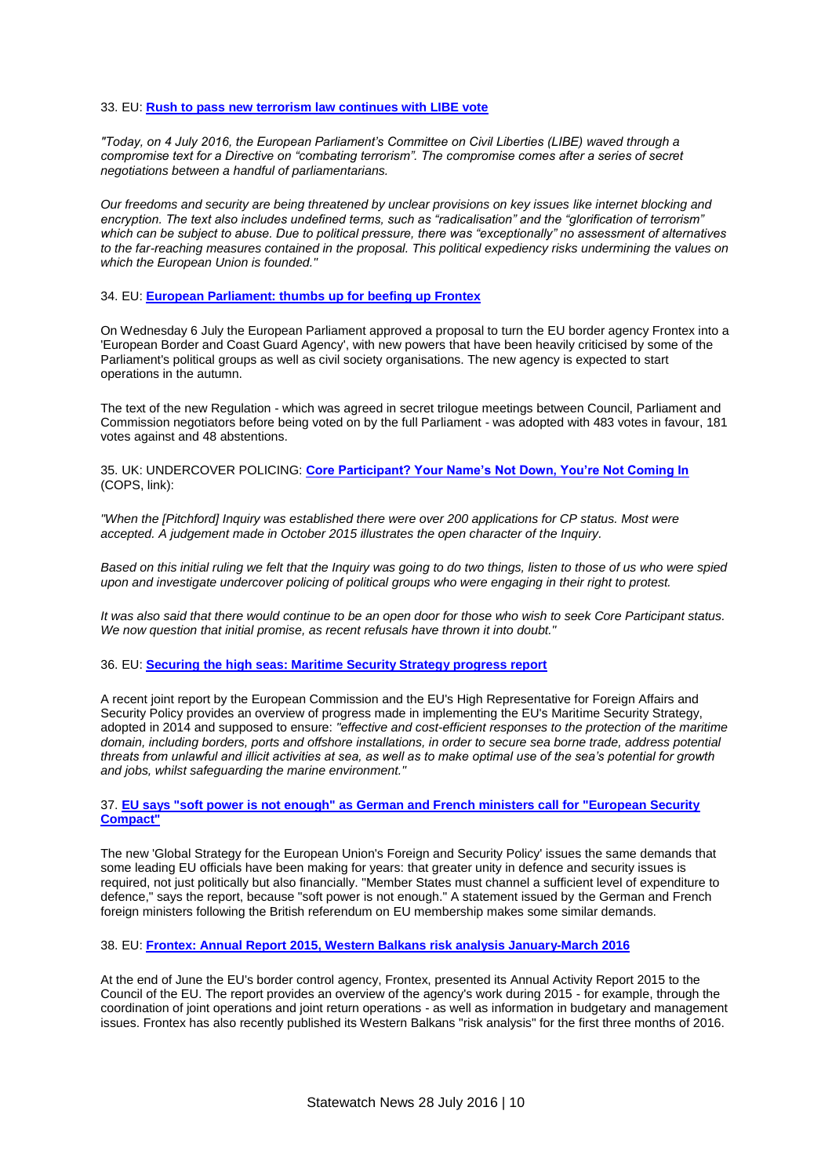#### 33. EU: **[Rush to pass new terrorism law continues with LIBE vote](http://statewatch.org/news/2016/jul/libe-terrorism-approval.htm)**

*"Today, on 4 July 2016, the European Parliament's Committee on Civil Liberties (LIBE) waved through a compromise text for a Directive on "combating terrorism". The compromise comes after a series of secret negotiations between a handful of parliamentarians.*

*Our freedoms and security are being threatened by unclear provisions on key issues like internet blocking and encryption. The text also includes undefined terms, such as "radicalisation" and the "glorification of terrorism" which can be subject to abuse. Due to political pressure, there was "exceptionally" no assessment of alternatives to the far-reaching measures contained in the proposal. This political expediency risks undermining the values on which the European Union is founded."*

#### 34. EU: **[European Parliament: thumbs up for beefing up Frontex](http://statewatch.org/news/2016/jul/eu-border-guard-vote.htm)**

On Wednesday 6 July the European Parliament approved a proposal to turn the EU border agency Frontex into a 'European Border and Coast Guard Agency', with new powers that have been heavily criticised by some of the Parliament's political groups as well as civil society organisations. The new agency is expected to start operations in the autumn.

The text of the new Regulation - which was agreed in secret trilogue meetings between Council, Parliament and Commission negotiators before being voted on by the full Parliament - was adopted with 483 votes in favour, 181 votes against and 48 abstentions.

35. UK: UNDERCOVER POLICING: **[Core Participant? Your Name's Not Down, You're Not Coming In](http://campaignopposingpolicesurveillance.com/2016/07/05/core-particpant-names-not-youre-not-coming/)** (COPS, link):

*"When the [Pitchford] Inquiry was established there were over 200 applications for CP status. Most were accepted. A judgement made in October 2015 illustrates the open character of the Inquiry.*

*Based on this initial ruling we felt that the Inquiry was going to do two things, listen to those of us who were spied upon and investigate undercover policing of political groups who were engaging in their right to protest.*

*It was also said that there would continue to be an open door for those who wish to seek Core Participant status. We now question that initial promise, as recent refusals have thrown it into doubt."*

### 36. EU: **[Securing the high seas: Maritime Security Strategy progress report](http://statewatch.org/news/2016/jul/eu-mss-report.htm)**

A recent joint report by the European Commission and the EU's High Representative for Foreign Affairs and Security Policy provides an overview of progress made in implementing the EU's Maritime Security Strategy, adopted in 2014 and supposed to ensure: *"effective and cost-efficient responses to the protection of the maritime domain, including borders, ports and offshore installations, in order to secure sea borne trade, address potential threats from unlawful and illicit activities at sea, as well as to make optimal use of the sea's potential for growth and jobs, whilst safeguarding the marine environment."*

## 37. **[EU says "soft power is not enough" as German and French ministers call for "European Security](http://statewatch.org/news/2016/jul/eu-security-strategy.htm)  [Compact"](http://statewatch.org/news/2016/jul/eu-security-strategy.htm)**

The new 'Global Strategy for the European Union's Foreign and Security Policy' issues the same demands that some leading EU officials have been making for years: that greater unity in defence and security issues is required, not just politically but also financially. "Member States must channel a sufficient level of expenditure to defence," says the report, because "soft power is not enough." A statement issued by the German and French foreign ministers following the British referendum on EU membership makes some similar demands.

38. EU: **[Frontex: Annual Report 2015, Western Balkans risk analysis January-March 2016](http://statewatch.org/news/2016/jul/frontex-docs.htm)**

At the end of June the EU's border control agency, Frontex, presented its Annual Activity Report 2015 to the Council of the EU. The report provides an overview of the agency's work during 2015 - for example, through the coordination of joint operations and joint return operations - as well as information in budgetary and management issues. Frontex has also recently published its Western Balkans "risk analysis" for the first three months of 2016.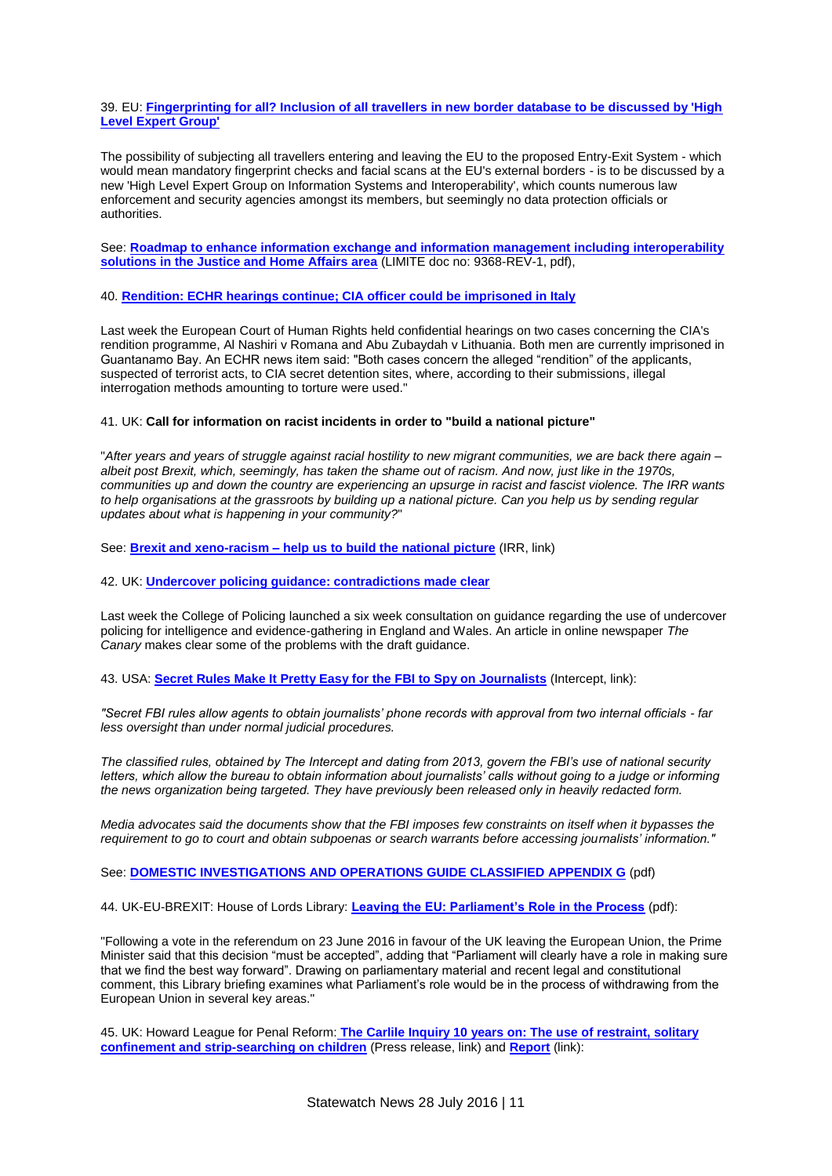39. EU: **[Fingerprinting for all? Inclusion of all travellers in new border database to be discussed by 'High](http://statewatch.org/news/2016/jul/eu-ees-fingerprints.htm)  [Level Expert Group'](http://statewatch.org/news/2016/jul/eu-ees-fingerprints.htm)**

The possibility of subjecting all travellers entering and leaving the EU to the proposed Entry-Exit System - which would mean mandatory fingerprint checks and facial scans at the EU's external borders - is to be discussed by a new 'High Level Expert Group on Information Systems and Interoperability', which counts numerous law enforcement and security agencies amongst its members, but seemingly no data protection officials or authorities.

See: **[Roadmap to enhance information exchange and information management including interoperability](http://statewatch.org/news/2016/jun/eu-council-info-exchange-interoperability-roadmap-9368-rev1-6-6-16.pdf)  [solutions in the Justice and Home Affairs area](http://statewatch.org/news/2016/jun/eu-council-info-exchange-interoperability-roadmap-9368-rev1-6-6-16.pdf)** (LIMITE doc no: 9368-REV-1, pdf),

40. **[Rendition: ECHR hearings continue; CIA officer could be imprisoned in Italy](http://statewatch.org/news/2016/jul/echr-rendition.htm)**

Last week the European Court of Human Rights held confidential hearings on two cases concerning the CIA's rendition programme, Al Nashiri v Romana and Abu Zubaydah v Lithuania. Both men are currently imprisoned in Guantanamo Bay. An ECHR news item said: "Both cases concern the alleged "rendition" of the applicants, suspected of terrorist acts, to CIA secret detention sites, where, according to their submissions, illegal interrogation methods amounting to torture were used."

### 41. UK: **Call for information on racist incidents in order to "build a national picture"**

"*After years and years of struggle against racial hostility to new migrant communities, we are back there again – albeit post Brexit, which, seemingly, has taken the shame out of racism. And now, just like in the 1970s, communities up and down the country are experiencing an upsurge in racist and fascist violence. The IRR wants*  to help organisations at the grassroots by building up a national picture. Can you help us by sending regular *updates about what is happening in your community?*"

See: **Brexit and xeno-racism – [help us to build the national picture](http://www.irr.org.uk/email/brexit-and-xeno-racism-help-us-to-build-the-national-picture/)** (IRR, link)

### 42. UK: **[Undercover policing guidance: contradictions made clear](http://statewatch.org/news/2016/jul/uk-spycops-guidance.htm)**

Last week the College of Policing launched a six week consultation on guidance regarding the use of undercover policing for intelligence and evidence-gathering in England and Wales. An article in online newspaper *The Canary* makes clear some of the problems with the draft guidance.

43. USA: **Secret Rules Make [It Pretty Easy for the FBI to Spy on Journalists](https://theintercept.com/2016/06/30/secret-rules-make-it-pretty-easy-for-the-fbi-to-spy-on-journalists/)** (Intercept, link):

*"Secret FBI rules allow agents to obtain journalists' phone records with approval from two internal officials - far less oversight than under normal judicial procedures.*

*The classified rules, obtained by The Intercept and dating from 2013, govern the FBI's use of national security letters, which allow the bureau to obtain information about journalists' calls without going to a judge or informing the news organization being targeted. They have previously been released only in heavily redacted form.*

*Media advocates said the documents show that the FBI imposes few constraints on itself when it bypasses the requirement to go to court and obtain subpoenas or search warrants before accessing journalists' information."*

See: **[DOMESTIC INVESTIGATIONS AND OPERATIONS GUIDE CLASSIFIED APPENDIX G](http://www.statewatch.org/news/2016/jul/usa-spying-on-journalists-intercept.pdf)** (pdf)

44. UK-EU-BREXIT: House of Lords Library: **[Leaving the EU: Parliament's Role in the Process](http://www.statewatch.org/news/2016/jul/uk-hol-library-briefing-brexit.pdf)** (pdf):

"Following a vote in the referendum on 23 June 2016 in favour of the UK leaving the European Union, the Prime Minister said that this decision "must be accepted", adding that "Parliament will clearly have a role in making sure that we find the best way forward". Drawing on parliamentary material and recent legal and constitutional comment, this Library briefing examines what Parliament's role would be in the process of withdrawing from the European Union in several key areas."

45. UK: Howard League for Penal Reform: **[The Carlile Inquiry 10 years on: The use of restraint, solitary](http://howardleague.org/publications/the-carlile-inquiry-10-years-on/)  [confinement and strip-searching on children](http://howardleague.org/publications/the-carlile-inquiry-10-years-on/)** (Press release, link) and **[Report](http://howardleague.org/wp-content/uploads/2016/06/Carlile-Inquiry-10-years-on.pdf)** (link):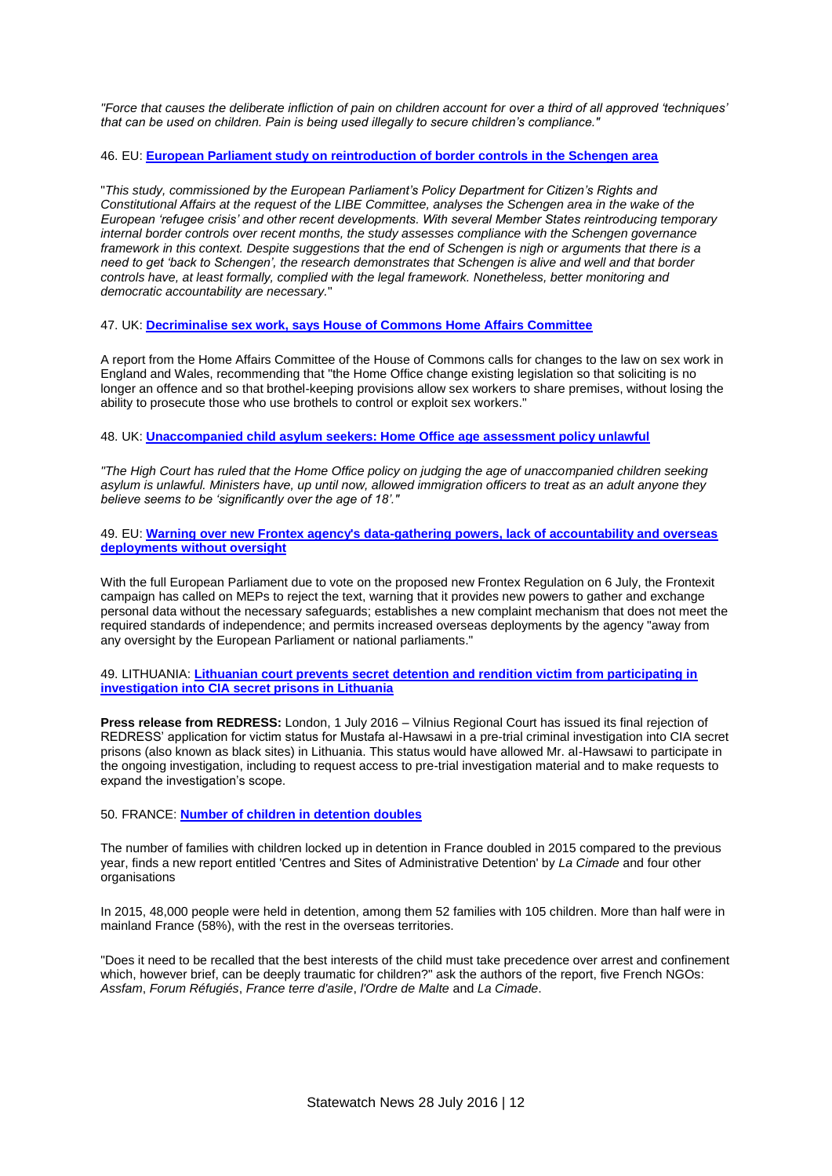*"Force that causes the deliberate infliction of pain on children account for over a third of all approved 'techniques' that can be used on children. Pain is being used illegally to secure children's compliance."*

# 46. EU: **[European Parliament study on reintroduction of border controls in the Schengen area](http://statewatch.org/news/2016/jul/ep-study-schengen.htm)**

"*This study, commissioned by the European Parliament's Policy Department for Citizen's Rights and Constitutional Affairs at the request of the LIBE Committee, analyses the Schengen area in the wake of the European 'refugee crisis' and other recent developments. With several Member States reintroducing temporary internal border controls over recent months, the study assesses compliance with the Schengen governance framework in this context. Despite suggestions that the end of Schengen is nigh or arguments that there is a need to get 'back to Schengen', the research demonstrates that Schengen is alive and well and that border controls have, at least formally, complied with the legal framework. Nonetheless, better monitoring and democratic accountability are necessary.*"

47. UK: **[Decriminalise sex work, says House of Commons Home Affairs Committee](http://statewatch.org/news/2016/jul/uk-hac-sex-work.htm)**

A report from the Home Affairs Committee of the House of Commons calls for changes to the law on sex work in England and Wales, recommending that "the Home Office change existing legislation so that soliciting is no longer an offence and so that brothel-keeping provisions allow sex workers to share premises, without losing the ability to prosecute those who use brothels to control or exploit sex workers."

48. UK: **[Unaccompanied child asylum seekers: Home Office age assessment policy unlawful](http://statewatch.org/news/2016/jul/uk-asylum-age-assessment.htm)**

*"The High Court has ruled that the Home Office policy on judging the age of unaccompanied children seeking asylum is unlawful. Ministers have, up until now, allowed immigration officers to treat as an adult anyone they believe seems to be 'significantly over the age of 18'."*

49. EU: **[Warning over new Frontex agency's data-gathering powers, lack of accountability and overseas](http://statewatch.org/news/2016/jul/eu-frontex-reg.htm)  [deployments without oversight](http://statewatch.org/news/2016/jul/eu-frontex-reg.htm)**

With the full European Parliament due to vote on the proposed new Frontex Regulation on 6 July, the Frontexit campaign has called on MEPs to reject the text, warning that it provides new powers to gather and exchange personal data without the necessary safeguards; establishes a new complaint mechanism that does not meet the required standards of independence; and permits increased overseas deployments by the agency "away from any oversight by the European Parliament or national parliaments."

49. LITHUANIA: **[Lithuanian court prevents secret detention and rendition victim from participating in](http://statewatch.org/news/2016/jul/lt-rendition-case.htm)  [investigation into CIA secret prisons in Lithuania](http://statewatch.org/news/2016/jul/lt-rendition-case.htm)**

**Press release from REDRESS:** London, 1 July 2016 – Vilnius Regional Court has issued its final rejection of REDRESS' application for victim status for Mustafa al-Hawsawi in a pre-trial criminal investigation into CIA secret prisons (also known as black sites) in Lithuania. This status would have allowed Mr. al-Hawsawi to participate in the ongoing investigation, including to request access to pre-trial investigation material and to make requests to expand the investigation's scope.

# 50. FRANCE: **[Number of children in detention doubles](http://statewatch.org/news/2016/jul/fr-detention-report.htm)**

The number of families with children locked up in detention in France doubled in 2015 compared to the previous year, finds a new report entitled 'Centres and Sites of Administrative Detention' by *La Cimade* and four other organisations

In 2015, 48,000 people were held in detention, among them 52 families with 105 children. More than half were in mainland France (58%), with the rest in the overseas territories.

"Does it need to be recalled that the best interests of the child must take precedence over arrest and confinement which, however brief, can be deeply traumatic for children?" ask the authors of the report, five French NGOs: *Assfam*, *Forum Réfugiés*, *France terre d'asile*, *l'Ordre de Malte* and *La Cimade*.